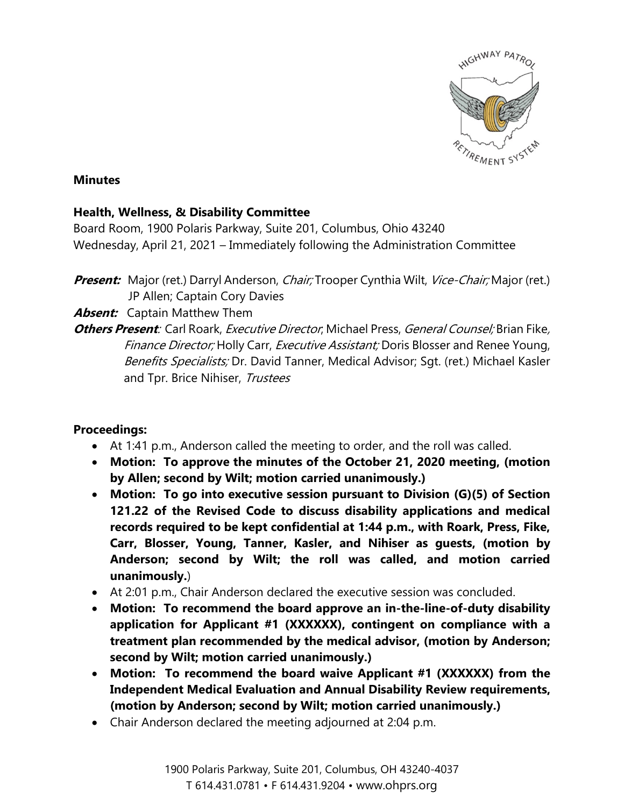

## **Minutes**

## **Health, Wellness, & Disability Committee**

Board Room, 1900 Polaris Parkway, Suite 201, Columbus, Ohio 43240 Wednesday, April 21, 2021 – Immediately following the Administration Committee

Present: Major (ret.) Darryl Anderson, *Chair;* Trooper Cynthia Wilt, Vice-Chair; Major (ret.) JP Allen; Captain Cory Davies

**Absent:** Captain Matthew Them

**Others Present**: Carl Roark, Executive Director; Michael Press, General Counsel; Brian Fike, Finance Director; Holly Carr, Executive Assistant; Doris Blosser and Renee Young, Benefits Specialists; Dr. David Tanner, Medical Advisor; Sqt. (ret.) Michael Kasler and Tpr. Brice Nihiser, Trustees

## **Proceedings:**

- At 1:41 p.m., Anderson called the meeting to order, and the roll was called.
- **Motion: To approve the minutes of the October 21, 2020 meeting, (motion by Allen; second by Wilt; motion carried unanimously.)**
- **Motion: To go into executive session pursuant to Division (G)(5) of Section 121.22 of the Revised Code to discuss disability applications and medical records required to be kept confidential at 1:44 p.m., with Roark, Press, Fike, Carr, Blosser, Young, Tanner, Kasler, and Nihiser as guests, (motion by Anderson; second by Wilt; the roll was called, and motion carried unanimously.**)
- At 2:01 p.m., Chair Anderson declared the executive session was concluded.
- **Motion: To recommend the board approve an in-the-line-of-duty disability application for Applicant #1 (XXXXXX), contingent on compliance with a treatment plan recommended by the medical advisor, (motion by Anderson; second by Wilt; motion carried unanimously.)**
- **Motion: To recommend the board waive Applicant #1 (XXXXXX) from the Independent Medical Evaluation and Annual Disability Review requirements, (motion by Anderson; second by Wilt; motion carried unanimously.)**
- Chair Anderson declared the meeting adjourned at 2:04 p.m.